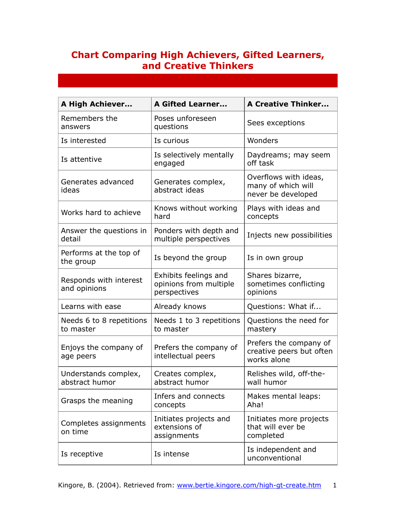## **Chart Comparing High Achievers, Gifted Learners, and Creative Thinkers**

| <b>A High Achiever</b>                 | <b>A Gifted Learner</b>                                         | <b>A Creative Thinker</b>                                         |
|----------------------------------------|-----------------------------------------------------------------|-------------------------------------------------------------------|
| Remembers the<br>answers               | Poses unforeseen<br>questions                                   | Sees exceptions                                                   |
| Is interested                          | Is curious                                                      | Wonders                                                           |
| Is attentive                           | Is selectively mentally<br>engaged                              | Daydreams; may seem<br>off task                                   |
| Generates advanced<br>ideas            | Generates complex,<br>abstract ideas                            | Overflows with ideas,<br>many of which will<br>never be developed |
| Works hard to achieve                  | Knows without working<br>hard                                   | Plays with ideas and<br>concepts                                  |
| Answer the questions in<br>detail      | Ponders with depth and<br>multiple perspectives                 | Injects new possibilities                                         |
| Performs at the top of<br>the group    | Is beyond the group                                             | Is in own group                                                   |
| Responds with interest<br>and opinions | Exhibits feelings and<br>opinions from multiple<br>perspectives | Shares bizarre,<br>sometimes conflicting<br>opinions              |
| Learns with ease                       | Already knows                                                   | Questions: What if                                                |
| Needs 6 to 8 repetitions<br>to master  | Needs 1 to 3 repetitions<br>to master                           | Questions the need for<br>mastery                                 |
| Enjoys the company of<br>age peers     | Prefers the company of<br>intellectual peers                    | Prefers the company of<br>creative peers but often<br>works alone |
| Understands complex,<br>abstract humor | Creates complex,<br>abstract humor                              | Relishes wild, off-the-<br>wall humor                             |
| Grasps the meaning                     | Infers and connects<br>concepts                                 | Makes mental leaps:<br>Aha!                                       |
| Completes assignments<br>on time       | Initiates projects and<br>extensions of<br>assignments          | Initiates more projects<br>that will ever be<br>completed         |
| Is receptive                           | Is intense                                                      | Is independent and<br>unconventional                              |